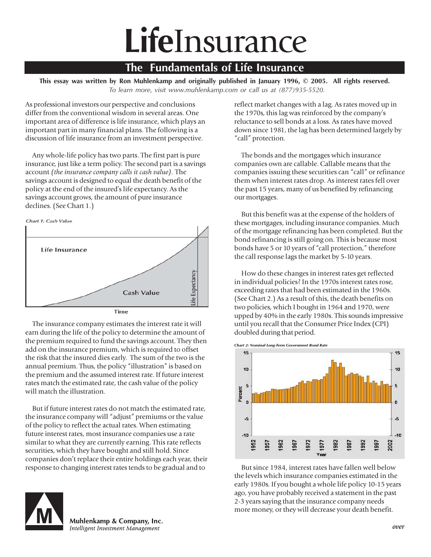## **Life**Insurance

## **The Fundamentals of Life Insurance**

**This essay was written by Ron Muhlenkamp and originally published in January 1996, © 2005. All rights reserved.** *To learn more, visit www.muhlenkamp.com or call us at (877)935-5520.*

As professional investors our perspective and conclusions differ from the conventional wisdom in several areas. One important area of difference is life insurance, which plays an important part in many financial plans. The following is a discussion of life insurance from an investment perspective.

 Any whole-life policy has two parts. The first part is pure insurance, just like a term policy. The second part is a savings account *(the insurance company calls it cash value).* The savings account is designed to equal the death benefit of the policy at the end of the insured's life expectancy. As the savings account grows, the amount of pure insurance declines. (See Chart 1.)





 The insurance company estimates the interest rate it will earn during the life of the policy to determine the amount of the premium required to fund the savings account. They then add on the insurance premium, which is required to offset the risk that the insured dies early. The sum of the two is the annual premium. Thus, the policy "illustration" is based on the premium and the assumed interest rate. If future interest rates match the estimated rate, the cash value of the policy will match the illustration.

 But if future interest rates do not match the estimated rate, the insurance company will "adjust" premiums or the value of the policy to reflect the actual rates. When estimating future interest rates, most insurance companies use a rate similar to what they are currently earning. This rate reflects securities, which they have bought and still hold. Since companies don't replace their entire holdings each year, their response to changing interest rates tends to be gradual and to

reflect market changes with a lag. As rates moved up in the 1970s, this lag was reinforced by the company's reluctance to sell bonds at a loss. As rates have moved down since 1981, the lag has been determined largely by "call" protection.

 The bonds and the mortgages which insurance companies own are callable. Callable means that the companies issuing these securities can "call" or refinance them when interest rates drop. As interest rates fell over the past 15 years, many of us benefited by refinancing our mortgages.

 But this benefit was at the expense of the holders of these mortgages, including insurance companies. Much of the mortgage refinancing has been completed. But the bond refinancing is still going on. This is because most bonds have 5 or 10 years of "call protection," therefore the call response lags the market by 5-10 years.

 How do these changes in interest rates get reflected in individual policies? In the 1970s interest rates rose, exceeding rates that had been estimated in the 1960s. (See Chart 2.) As a result of this, the death benefits on two policies, which I bought in 1964 and 1970, were upped by 40% in the early 1980s. This sounds impressive until you recall that the Consumer Price Index (CPI) doubled during that period.



 But since 1984, interest rates have fallen well below the levels which insurance companies estimated in the early 1980s. If you bought a whole life policy 10-15 years ago, you have probably received a statement in the past 2-3 years saying that the insurance company needs more money, or they will decrease your death benefit.



Muhlenkamp & Company, Inc. Intelligent Investment Management